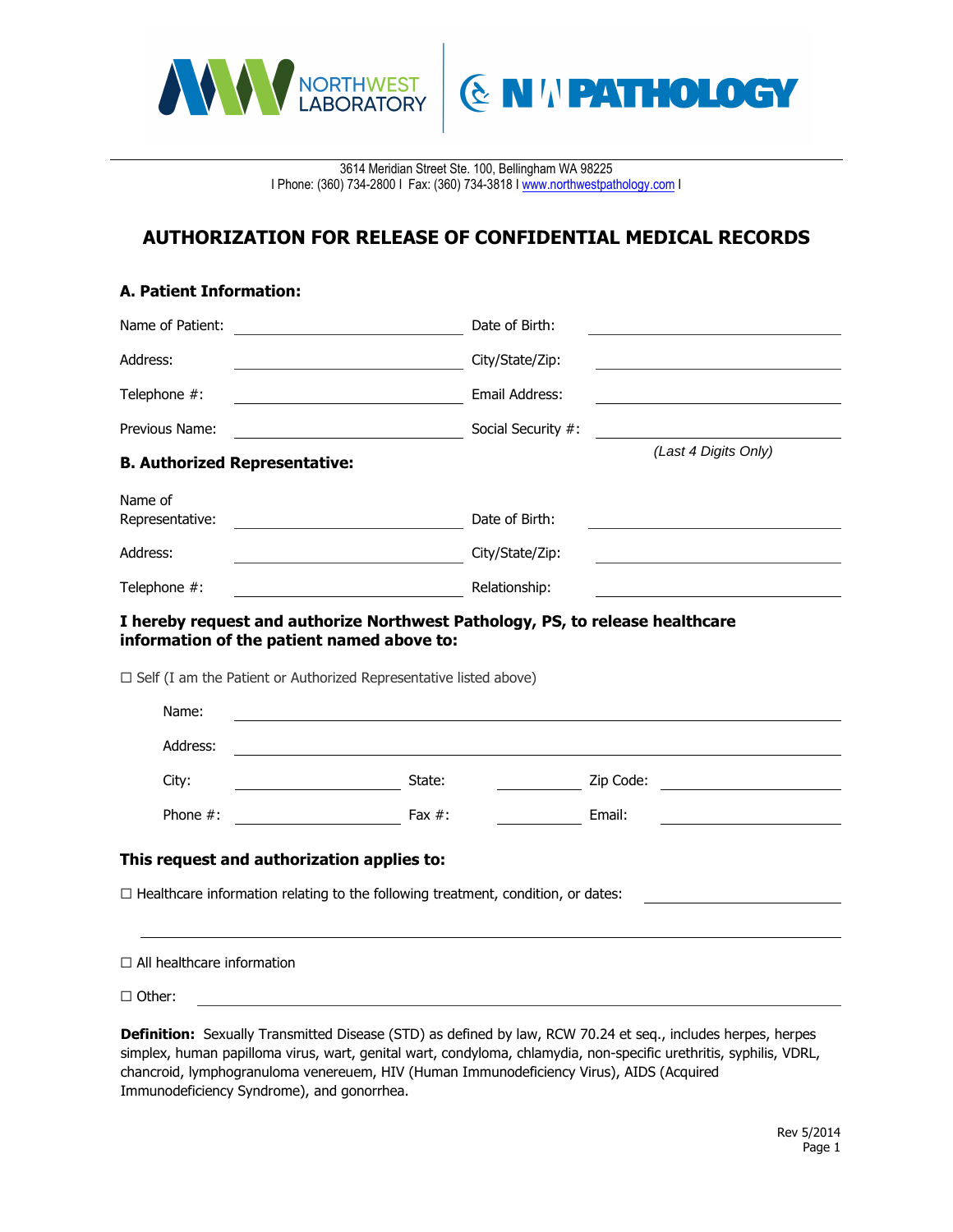

3614 Meridian Street Ste. 100, Bellingham WA 98225 I Phone: (360) 734-2800 I Fax: (360) 734-3818 I www.northwestpathology.com I

**ENIVERTHOLOGY** 

## **AUTHORIZATION FOR RELEASE OF CONFIDENTIAL MEDICAL RECORDS**

## **A. Patient Information:**

| Name of Patient:                                                                                                                                                                                                 | Date of Birth:       |  |
|------------------------------------------------------------------------------------------------------------------------------------------------------------------------------------------------------------------|----------------------|--|
| Address:                                                                                                                                                                                                         | City/State/Zip:      |  |
| Telephone #:                                                                                                                                                                                                     | Email Address:       |  |
| Previous Name:                                                                                                                                                                                                   | Social Security #:   |  |
| <b>B. Authorized Representative:</b>                                                                                                                                                                             | (Last 4 Digits Only) |  |
| Name of<br>Representative:                                                                                                                                                                                       | Date of Birth:       |  |
| Address:<br><u> 1980 - Johann Barn, mars eta bainar e</u>                                                                                                                                                        | City/State/Zip:      |  |
| Telephone #:                                                                                                                                                                                                     | Relationship:        |  |
| I hereby request and authorize Northwest Pathology, PS, to release healthcare<br>information of the patient named above to:<br>$\Box$ Self (I am the Patient or Authorized Representative listed above)<br>Name: |                      |  |
| Address:                                                                                                                                                                                                         |                      |  |
| City:<br>State:                                                                                                                                                                                                  | Zip Code:            |  |
| Phone $#$ :<br>$\overline{\phantom{a}}$<br>Fax $#$ :                                                                                                                                                             | Email:               |  |
| This request and authorization applies to:                                                                                                                                                                       |                      |  |
| $\Box$ Healthcare information relating to the following treatment, condition, or dates:                                                                                                                          |                      |  |
| $\Box$ All healthcare information                                                                                                                                                                                |                      |  |

□ Other:

**Definition:** Sexually Transmitted Disease (STD) as defined by law, RCW 70.24 et seq., includes herpes, herpes simplex, human papilloma virus, wart, genital wart, condyloma, chlamydia, non-specific urethritis, syphilis, VDRL, chancroid, lymphogranuloma venereuem, HIV (Human Immunodeficiency Virus), AIDS (Acquired Immunodeficiency Syndrome), and gonorrhea.